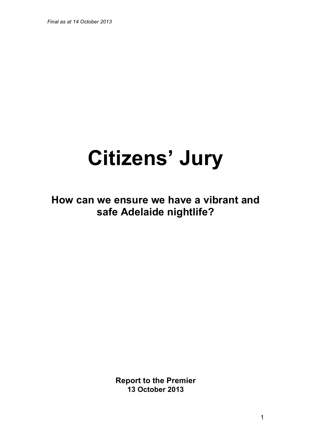*Final as at 14 October 2013*

# **Citizens' Jury**

**How can we ensure we have a vibrant and safe Adelaide nightlife?**

> **Report to the Premier 13 October 2013**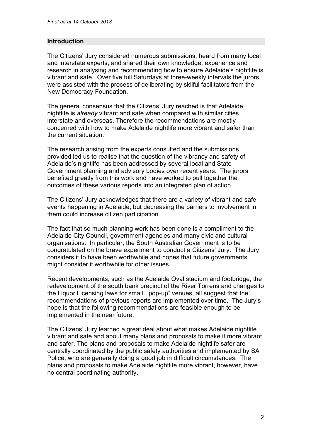#### **Introduction**

The Citizens' Jury considered numerous submissions, heard from many local and interstate experts, and shared their own knowledge, experience and research in analysing and recommending how to ensure Adelaide's nightlife is vibrant and safe. Over five full Saturdays at three-weekly intervals the jurors were assisted with the process of deliberating by skilful facilitators from the New Democracy Foundation.

The general consensus that the Citizens' Jury reached is that Adelaide nightlife is *already* vibrant and safe when compared with similar cities interstate and overseas. Therefore the recommendations are mostly concerned with how to make Adelaide nightlife more vibrant and safer than the current situation.

The research arising from the experts consulted and the submissions provided led us to realise that the question of the vibrancy and safety of Adelaide's nightlife has been addressed by several local and State Government planning and advisory bodies over recent years. The jurors benefited greatly from this work and have worked to pull together the outcomes of these various reports into an integrated plan of action.

The Citizens' Jury acknowledges that there are a variety of vibrant and safe events happening in Adelaide, but decreasing the barriers to involvement in them could increase citizen participation.

The fact that so much planning work has been done is a compliment to the Adelaide City Council, government agencies and many civic and cultural organisations. In particular, the South Australian Government is to be congratulated on the brave experiment to conduct a Citizens' Jury. The Jury considers it to have been worthwhile and hopes that future governments might consider it worthwhile for other issues.

Recent developments, such as the Adelaide Oval stadium and footbridge, the redevelopment of the south bank precinct of the River Torrens and changes to the Liquor Licensing laws for small, "pop-up" venues, all suggest that the recommendations of previous reports are implemented over time. The Jury's hope is that the following recommendations are feasible enough to be implemented in the near future.

The Citizens' Jury learned a great deal about what makes Adelaide nightlife vibrant and safe and about many plans and proposals to make it more vibrant and safer. The plans and proposals to make Adelaide nightlife safer are centrally coordinated by the public safety authorities and implemented by SA Police, who are generally doing a good job in difficult circumstances. The plans and proposals to make Adelaide nightlife more vibrant, however, have no central coordinating authority.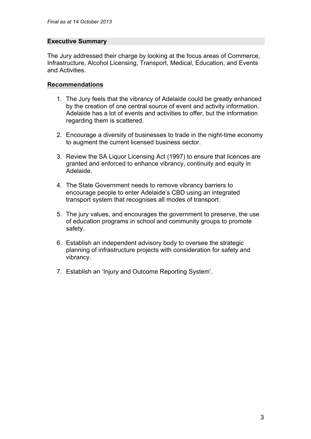#### **Executive Summary**

The Jury addressed their charge by looking at the focus areas of Commerce, Infrastructure, Alcohol Licensing, Transport, Medical, Education, and Events and Activities.

## **Recommendations**

- 1. The Jury feels that the vibrancy of Adelaide could be greatly enhanced by the creation of one central source of event and activity information. Adelaide has a lot of events and activities to offer, but the information regarding them is scattered.
- 2. Encourage a diversity of businesses to trade in the night-time economy to augment the current licensed business sector.
- 3. Review the SA Liquor Licensing Act (1997) to ensure that licences are granted and enforced to enhance vibrancy, continuity and equity in Adelaide.
- 4. The State Government needs to remove vibrancy barriers to encourage people to enter Adelaide's CBD using an integrated transport system that recognises all modes of transport.
- 5. The jury values, and encourages the government to preserve, the use of education programs in school and community groups to promote safety.
- 6. Establish an independent advisory body to oversee the strategic planning of infrastructure projects with consideration for safety and vibrancy.
- 7. Establish an 'Injury and Outcome Reporting System'.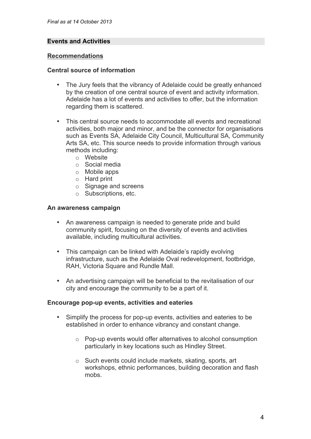## **Events and Activities**

#### **Recommendations**

#### **Central source of information**

- The Jury feels that the vibrancy of Adelaide could be greatly enhanced by the creation of one central source of event and activity information. Adelaide has a lot of events and activities to offer, but the information regarding them is scattered.
- This central source needs to accommodate all events and recreational activities, both major and minor, and be the connector for organisations such as Events SA, Adelaide City Council, Multicultural SA, Community Arts SA, etc. This source needs to provide information through various methods including:
	- o Website
	- o Social media
	- o Mobile apps
	- o Hard print
	- o Signage and screens
	- o Subscriptions, etc.

#### **An awareness campaign**

- An awareness campaign is needed to generate pride and build community spirit, focusing on the diversity of events and activities available, including multicultural activities.
- This campaign can be linked with Adelaide's rapidly evolving infrastructure, such as the Adelaide Oval redevelopment, footbridge, RAH, Victoria Square and Rundle Mall.
- An advertising campaign will be beneficial to the revitalisation of our city and encourage the community to be a part of it.

#### **Encourage pop-up events, activities and eateries**

- Simplify the process for pop-up events, activities and eateries to be established in order to enhance vibrancy and constant change.
	- o Pop-up events would offer alternatives to alcohol consumption particularly in key locations such as Hindley Street.
	- o Such events could include markets, skating, sports, art workshops, ethnic performances, building decoration and flash mobs.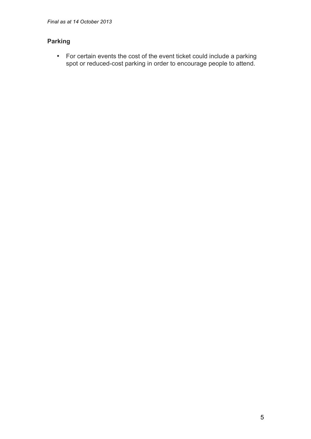## **Parking**

• For certain events the cost of the event ticket could include a parking spot or reduced-cost parking in order to encourage people to attend.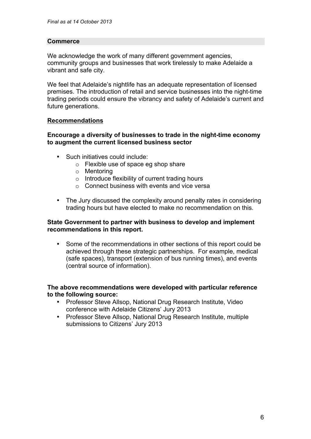## **Commerce**

We acknowledge the work of many different government agencies, community groups and businesses that work tirelessly to make Adelaide a vibrant and safe city.

We feel that Adelaide's nightlife has an adequate representation of licensed premises. The introduction of retail and service businesses into the night-time trading periods could ensure the vibrancy and safety of Adelaide's current and future generations.

## **Recommendations**

#### **Encourage a diversity of businesses to trade in the night-time economy to augment the current licensed business sector**

- Such initiatives could include:
	- o Flexible use of space eg shop share
	- o Mentoring
	- $\circ$  Introduce flexibility of current trading hours
	- o Connect business with events and vice versa
- The Jury discussed the complexity around penalty rates in considering trading hours but have elected to make no recommendation on this.

#### **State Government to partner with business to develop and implement recommendations in this report.**

• Some of the recommendations in other sections of this report could be achieved through these strategic partnerships. For example, medical (safe spaces), transport (extension of bus running times), and events (central source of information).

#### **The above recommendations were developed with particular reference to the following source:**

- Professor Steve Allsop, National Drug Research Institute, Video conference with Adelaide Citizens' Jury 2013
- Professor Steve Allsop, National Drug Research Institute, multiple submissions to Citizens' Jury 2013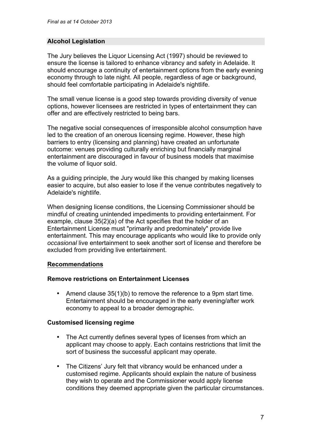## **Alcohol Legislation**

The Jury believes the Liquor Licensing Act (1997) should be reviewed to ensure the license is tailored to enhance vibrancy and safety in Adelaide. It should encourage a continuity of entertainment options from the early evening economy through to late night. All people, regardless of age or background, should feel comfortable participating in Adelaide's nightlife.

The small venue license is a good step towards providing diversity of venue options, however licensees are restricted in types of entertainment they can offer and are effectively restricted to being bars.

The negative social consequences of irresponsible alcohol consumption have led to the creation of an onerous licensing regime. However, these high barriers to entry (licensing and planning) have created an unfortunate outcome: venues providing culturally enriching but financially marginal entertainment are discouraged in favour of business models that maximise the volume of liquor sold.

As a guiding principle, the Jury would like this changed by making licenses easier to acquire, but also easier to lose if the venue contributes negatively to Adelaide's nightlife.

When designing license conditions, the Licensing Commissioner should be mindful of creating unintended impediments to providing entertainment. For example, clause 35(2)(a) of the Act specifies that the holder of an Entertainment License must "primarily and predominately" provide live entertainment. This may encourage applicants who would like to provide only *occasional* live entertainment to seek another sort of license and therefore be excluded from providing live entertainment.

## **Recommendations**

#### **Remove restrictions on Entertainment Licenses**

• Amend clause 35(1)(b) to remove the reference to a 9pm start time. Entertainment should be encouraged in the early evening/after work economy to appeal to a broader demographic.

#### **Customised licensing regime**

- The Act currently defines several types of licenses from which an applicant may choose to apply. Each contains restrictions that limit the sort of business the successful applicant may operate.
- The Citizens' Jury felt that vibrancy would be enhanced under a customised regime. Applicants should explain the nature of business they wish to operate and the Commissioner would apply license conditions they deemed appropriate given the particular circumstances.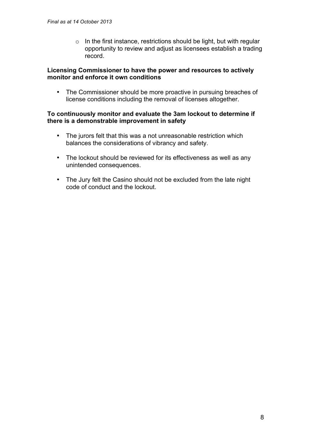$\circ$  In the first instance, restrictions should be light, but with regular opportunity to review and adjust as licensees establish a trading record.

#### **Licensing Commissioner to have the power and resources to actively monitor and enforce it own conditions**

• The Commissioner should be more proactive in pursuing breaches of license conditions including the removal of licenses altogether.

#### **To continuously monitor and evaluate the 3am lockout to determine if there is a demonstrable improvement in safety**

- The jurors felt that this was a not unreasonable restriction which balances the considerations of vibrancy and safety.
- The lockout should be reviewed for its effectiveness as well as any unintended consequences.
- The Jury felt the Casino should not be excluded from the late night code of conduct and the lockout.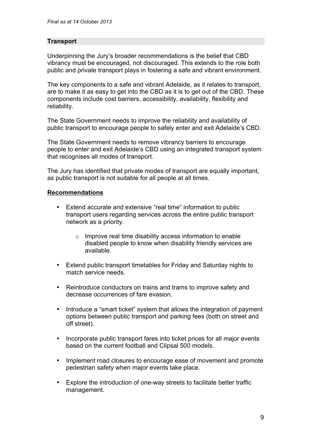## **Transport**

Underpinning the Jury's broader recommendations is the belief that CBD vibrancy must be encouraged, not discouraged. This extends to the role both public and private transport plays in fostering a safe and vibrant environment.

The key components to a safe and vibrant Adelaide, as it relates to transport, are to make it as easy to get into the CBD as it is to get out of the CBD. These components include cost barriers, accessibility, availability, flexibility and reliability.

The State Government needs to improve the reliability and availability of public transport to encourage people to safely enter and exit Adelaide's CBD.

The State Government needs to remove vibrancy barriers to encourage people to enter and exit Adelaide's CBD using an integrated transport system that recognises all modes of transport.

The Jury has identified that private modes of transport are equally important, as public transport is not suitable for all people at all times.

## **Recommendations**

- Extend accurate and extensive "real time" information to public transport users regarding services across the entire public transport network as a priority.
	- o Improve real time disability access information to enable disabled people to know when disability friendly services are available.
- Extend public transport timetables for Friday and Saturday nights to match service needs.
- Reintroduce conductors on trains and trams to improve safety and decrease occurrences of fare evasion.
- Introduce a "smart ticket" system that allows the integration of payment options between public transport and parking fees (both on street and off street).
- Incorporate public transport fares into ticket prices for all major events based on the current football and Clipsal 500 models.
- Implement road closures to encourage ease of movement and promote pedestrian safety when major events take place.
- Explore the introduction of one-way streets to facilitate better traffic management.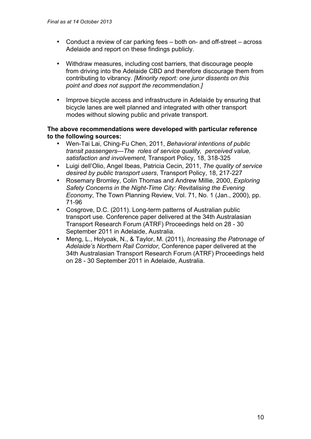- Conduct a review of car parking fees both on- and off-street across Adelaide and report on these findings publicly.
- Withdraw measures, including cost barriers, that discourage people from driving into the Adelaide CBD and therefore discourage them from contributing to vibrancy. *[Minority report: one juror dissents on this point and does not support the recommendation.]*
- Improve bicycle access and infrastructure in Adelaide by ensuring that bicycle lanes are well planned and integrated with other transport modes without slowing public and private transport.

#### **The above recommendations were developed with particular reference to the following sources:**

- Wen-Tai Lai, Ching-Fu Chen, 2011, *Behavioral intentions of public transit passengers—The roles of service quality, perceived value, satisfaction and involvement,* Transport Policy, 18, 318-325
- Luigi dell'Olio, Angel Ibeas, Patricia Cecin, 2011, *The quality of service desired by public transport users*, Transport Policy, 18, 217-227
- Rosemary Bromley, Colin Thomas and Andrew Millie, 2000, *Exploring Safety Concerns in the Night-Time City: Revitalising the Evening Economy*, The Town Planning Review, Vol. 71, No. 1 (Jan., 2000), pp. 71-96
- Cosgrove, D.C. (2011). Long-term patterns of Australian public transport use. Conference paper delivered at the 34th Australasian Transport Research Forum (ATRF) Proceedings held on 28 - 30 September 2011 in Adelaide, Australia.
- Meng, L., Holyoak, N., & Taylor, M. (2011), *Increasing the Patronage of Adelaide's Northern Rail Corridor*, Conference paper delivered at the 34th Australasian Transport Research Forum (ATRF) Proceedings held on 28 - 30 September 2011 in Adelaide, Australia.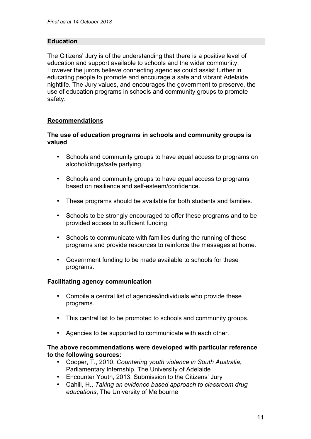## **Education**

The Citizens' Jury is of the understanding that there is a positive level of education and support available to schools and the wider community. However the jurors believe connecting agencies could assist further in educating people to promote and encourage a safe and vibrant Adelaide nightlife. The Jury values, and encourages the government to preserve, the use of education programs in schools and community groups to promote safety.

## **Recommendations**

#### **The use of education programs in schools and community groups is valued**

- Schools and community groups to have equal access to programs on alcohol/drugs/safe partying.
- Schools and community groups to have equal access to programs based on resilience and self-esteem/confidence.
- These programs should be available for both students and families.
- Schools to be strongly encouraged to offer these programs and to be provided access to sufficient funding.
- Schools to communicate with families during the running of these programs and provide resources to reinforce the messages at home.
- Government funding to be made available to schools for these programs.

#### **Facilitating agency communication**

- Compile a central list of agencies/individuals who provide these programs.
- This central list to be promoted to schools and community groups.
- Agencies to be supported to communicate with each other.

#### **The above recommendations were developed with particular reference to the following sources:**

- Cooper, T., 2010, *Countering youth violence in South Australia*, Parliamentary Internship, The University of Adelaide
- Encounter Youth, 2013, Submission to the Citizens' Jury
- Cahill, H., *Taking an evidence based approach to classroom drug educations*, The University of Melbourne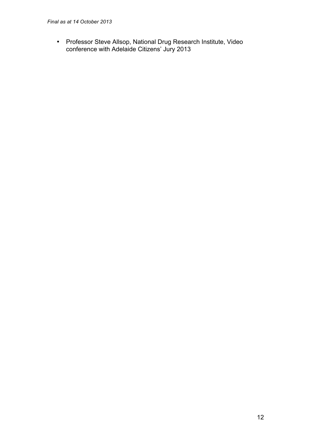• Professor Steve Allsop, National Drug Research Institute, Video conference with Adelaide Citizens' Jury 2013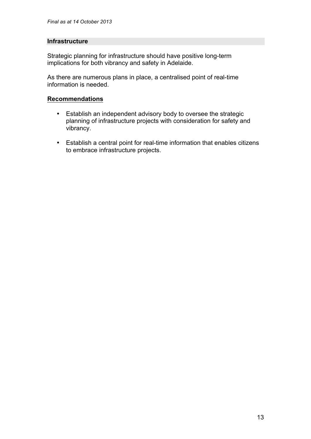#### **Infrastructure**

Strategic planning for infrastructure should have positive long-term implications for both vibrancy and safety in Adelaide.

As there are numerous plans in place, a centralised point of real-time information is needed.

#### **Recommendations**

- Establish an independent advisory body to oversee the strategic planning of infrastructure projects with consideration for safety and vibrancy.
- Establish a central point for real-time information that enables citizens to embrace infrastructure projects.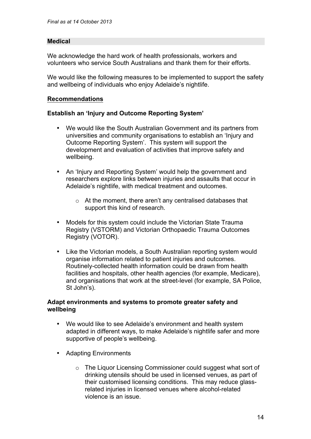## **Medical**

We acknowledge the hard work of health professionals, workers and volunteers who service South Australians and thank them for their efforts.

We would like the following measures to be implemented to support the safety and wellbeing of individuals who enjoy Adelaide's nightlife.

## **Recommendations**

## **Establish an 'Injury and Outcome Reporting System'**

- We would like the South Australian Government and its partners from universities and community organisations to establish an 'Injury and Outcome Reporting System'. This system will support the development and evaluation of activities that improve safety and wellbeing.
- An 'Injury and Reporting System' would help the government and researchers explore links between injuries and assaults that occur in Adelaide's nightlife, with medical treatment and outcomes.
	- o At the moment, there aren't any centralised databases that support this kind of research.
- Models for this system could include the Victorian State Trauma Registry (VSTORM) and Victorian Orthopaedic Trauma Outcomes Registry (VOTOR).
- Like the Victorian models, a South Australian reporting system would organise information related to patient injuries and outcomes. Routinely-collected health information could be drawn from health facilities and hospitals, other health agencies (for example, Medicare), and organisations that work at the street-level (for example, SA Police, St John's).

## **Adapt environments and systems to promote greater safety and wellbeing**

- We would like to see Adelaide's environment and health system adapted in different ways, to make Adelaide's nightlife safer and more supportive of people's wellbeing.
- Adapting Environments
	- o The Liquor Licensing Commissioner could suggest what sort of drinking utensils should be used in licensed venues, as part of their customised licensing conditions. This may reduce glassrelated injuries in licensed venues where alcohol-related violence is an issue.